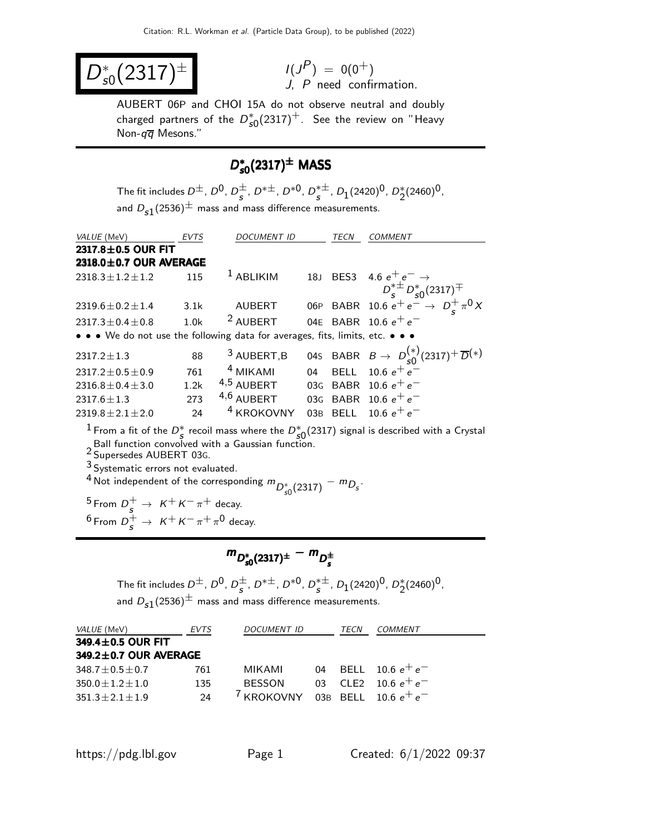$$
D_{s0}^*(2317)^{\pm} \qquad \qquad {}^{\prime\prime}{}_L^{(1)}
$$

$$
I(J^P) = 0(0^+)
$$
  
J, P need confirmation.

AUBERT 06P and CHOI 15A do not observe neutral and doubly charged partners of the  $D_{\mathcal{S} 0}^*(2317)^+$ . See the review on "Heavy Non- $q\overline{q}$  Mesons."

# $D_{s0}^*(2317)^{\pm}$  MASS

The fit includes  $D^{\pm}$ ,  $D^0$ ,  $D^{\pm}_{s}$ ,  $D^{*\pm}$ ,  $D^{*0}$ ,  $D^{*\pm}_{s}$ ,  $D_1(2420)^0$ ,  $D^{*}_2(2460)^0$ , and  $D_{\textbf{s}1}(2536)^{\pm}$  mass and mass difference measurements.

| VALUE (MeV)                                                                   | <b>EVTS</b>      | <b>DOCUMENT ID</b>     |    | TECN        | <b>COMMENT</b>                                                                           |
|-------------------------------------------------------------------------------|------------------|------------------------|----|-------------|------------------------------------------------------------------------------------------|
| 2317.8±0.5 OUR FIT                                                            |                  |                        |    |             |                                                                                          |
| $2318.0 \pm 0.7$ OUR AVERAGE                                                  |                  |                        |    |             |                                                                                          |
| $2318.3 \pm 1.2 \pm 1.2$                                                      | 115              | $1$ ABLIKIM            |    |             | 18J BES3 4.6 $e^+e^- \rightarrow$                                                        |
|                                                                               |                  |                        |    |             | $D_s^{*\pm} D_{s0}^{*}(2317)^{\mp}$<br>06P BABR 10.6 $e^+ e^- \rightarrow D_s^+ \pi^0 X$ |
| $2319.6 \pm 0.2 \pm 1.4$                                                      | 3.1k             | <b>AUBERT</b>          |    |             |                                                                                          |
| $2317.3 \pm 0.4 \pm 0.8$                                                      | 1.0 <sub>k</sub> | <sup>2</sup> AUBERT    |    |             | 04E BABR 10.6 $e^+e^-$                                                                   |
| • • • We do not use the following data for averages, fits, limits, etc. • • • |                  |                        |    |             |                                                                                          |
| $2317.2 \pm 1.3$                                                              | 88               | <sup>3</sup> AUBERT, B |    |             | 04s BABR $B \to D_{s0}^{(*)}(2317)^{+} \overline{D}^{(*)}$                               |
| $2317.2 \pm 0.5 \pm 0.9$                                                      | 761              | <sup>4</sup> MIKAMI    | 04 | <b>BELL</b> | 10.6 $e^+e^-$                                                                            |
| $2316.8 \pm 0.4 \pm 3.0$                                                      | 1.2k             | $4,5$ AUBERT           |    | 03G BABR    | 10.6 $e^+e^-$                                                                            |
| $2317.6 \pm 1.3$                                                              | 273              | $4,6$ AUBERT           |    |             | 03G BABR 10.6 $e^+e^-$                                                                   |
| $2319.8 \pm 2.1 \pm 2.0$                                                      | 24               | <sup>4</sup> KROKOVNY  |    | 03B BELL    | 10.6 $e^+e^-$                                                                            |

<sup>1</sup> From a fit of the  $D^*_{\mathcal{S}}$  recoil mass where the  $D^*_{\mathcal{S}0}(2317)$  signal is described with a Crystal Ball function convolved with a Gaussian function. 2 Supersedes AUBERT 03G.

3 Systematic errors not evaluated.

 $^4$  Not independent of the corresponding  $m_{D_{s0}^{\ast}(2317)} - m_{D_s}$ .

 $^5$  From  $D_s^+ \rightarrow K^+ K^- \pi^+$  decay. <sup>6</sup> From  $D_s^+ \to K^+ K^- \pi^+ \pi^0$  decay.

$$
m_{D_{s0}^*(2317)^{\pm}} - m_{D_{s}^{\pm}}
$$

The fit includes  $D^{\pm}$ ,  $D^0$ ,  $D^{\pm}_{\bm{s}}$ ,  $D^{*\pm}$ ,  $D^{*0}$ ,  $D^{*\pm}_{\bm{s}}$ ,  $D_1(2420)^0$ ,  $D^*_2(2460)^0$ , and  $D_{\textbf{s}1}(2536)^{\pm}$  mass and mass difference measurements.

| <i>VALUE</i> (MeV)          | <b>EVTS</b> | <i>DOCUMENT ID</i>    | TECN                  | COMMENT                |
|-----------------------------|-------------|-----------------------|-----------------------|------------------------|
| 349.4±0.5 OUR FIT           |             |                       |                       |                        |
| $349.2 \pm 0.7$ OUR AVERAGE |             |                       |                       |                        |
| $348.7 \pm 0.5 \pm 0.7$     | 761         | MIKAMI                |                       | 04 BELL 10.6 $e^+e^-$  |
| $350.0 \pm 1.2 \pm 1.0$     | 135         | <b>BESSON</b>         | $03$ CIF <sub>2</sub> | 10.6 $e^+e^-$          |
| $351.3 \pm 2.1 \pm 1.9$     | 24          | <sup>/</sup> KROKOVNY |                       | 03B BELL 10.6 $e^+e^-$ |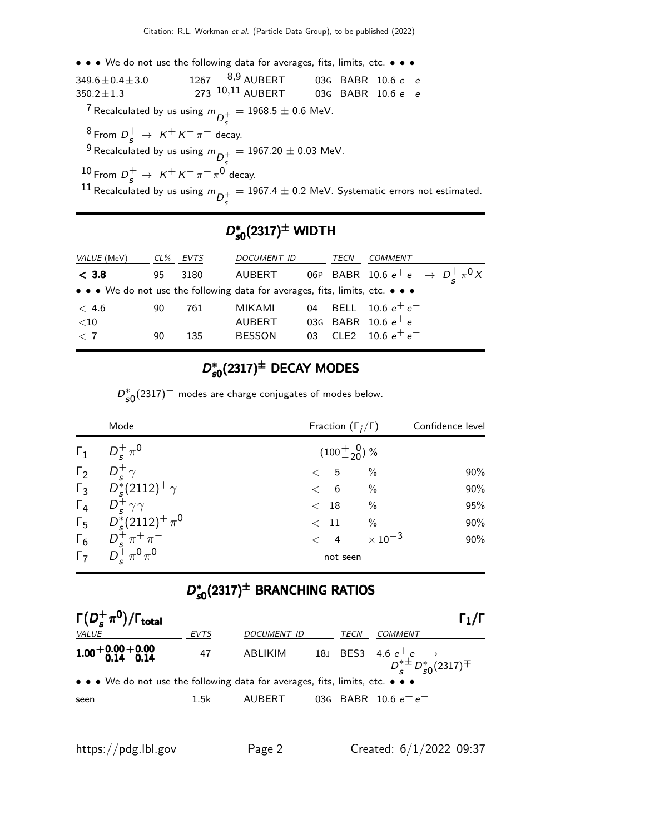• • • We do not use the following data for averages, fits, limits, etc. • • •  $349.6 \pm 0.4 \pm 3.0$  1267  $8.9$  AUBERT 03G BABR 10.6  $e^+e^-$ <br> $350.2 \pm 1.3$  273  $10.11$  AUBERT 03G BABR 10.6  $e^+e^ 350.2 \pm 1.3$  273  $^{10,11}$  AUBERT 03G BABR 10.6  $e^+e^-$ <sup>7</sup> Recalculated by us using  $m_{\overline D^+_S}$  $= 1968.5 \pm 0.6$  MeV.  $^8$  From  $D_s^+ \rightarrow K^+ K^- \pi^+$  decay. <sup>9</sup> Recalculated by us using  $m_{\overline{D}_s^+}$  $= 1967.20 \pm 0.03$  MeV.  $^{10}$  From  $D_s^+$   $\rightarrow$   $\,$  K  $^+$  K  $^ \pi^+$   $\pi^0$  decay.  $^{11}$  Recalculated by us using  $m_{\overline{D}_S^+}$  $= 1967.4 \pm 0.2$  MeV. Systematic errors not estimated.

# $D_{s0}^*(2317)^\pm$  WIDTH

| <i>VALUE</i> (MeV)                                                            | $CL\%$ | EVTS | DOCUMENT ID   | TECN | <b>COMMENT</b>                           |
|-------------------------------------------------------------------------------|--------|------|---------------|------|------------------------------------------|
| < 3.8                                                                         | 95     | 3180 | AUBERT        |      | 06P BABR 10.6 $e^+e^- \to D^+_c \pi^0 X$ |
| • • • We do not use the following data for averages, fits, limits, etc. • • • |        |      |               |      |                                          |
| < 4.6                                                                         | 90.    | 761  | MIKAMI        |      | 04 BELL 10.6 $e^+e^-$                    |
| $<$ 10                                                                        |        |      | <b>AUBERT</b> |      | 03G BABR 10.6 $e^+e^-$                   |
| $\langle 7$                                                                   | 90     | 135  | <b>BESSON</b> |      | 03 CLE2 10.6 $e^+e^-$                    |
|                                                                               |        |      |               |      |                                          |

# $D_{s0}^*(2317)^{\pm}$  DECAY MODES

 $D_{s0}^{*}(2317)^{-}$  modes are charge conjugates of modes below.

| Mode                                                                                       | Fraction $(\Gamma_i/\Gamma)$ | Confidence level |
|--------------------------------------------------------------------------------------------|------------------------------|------------------|
| $\Gamma_1$ $D_s^+\pi^0$                                                                    | $(100^{+0.0}_{-20})$ %       |                  |
| $\Gamma_2$ $D_s^+\gamma$                                                                   | $\frac{0}{0}$<br>< 5         | 90%              |
| $\Gamma_3$ $D_s^*(2112)^+$ $\gamma$                                                        | $\frac{0}{0}$<br>< 6         | 90%              |
| $\Gamma_4$ $D_s^+\gamma\gamma$                                                             | $\%$<br>$\rm <$ $18$         | 95%              |
| $\Gamma_5$ $D_s^*(2112)^+ \pi^0$                                                           | $\%$<br>$\,<\,$ 11           | 90%              |
| $\begin{matrix} \Gamma_6 & D_s^+ \pi^+ \pi^- \\ \Gamma_7 & D_s^+ \pi^0 \pi^0 \end{matrix}$ | $< 4 \times 10^{-3}$         | 90%              |
|                                                                                            | not seen                     |                  |

# $D_{s0}^{*}(2317)^{\pm}$  BRANCHING RATIOS